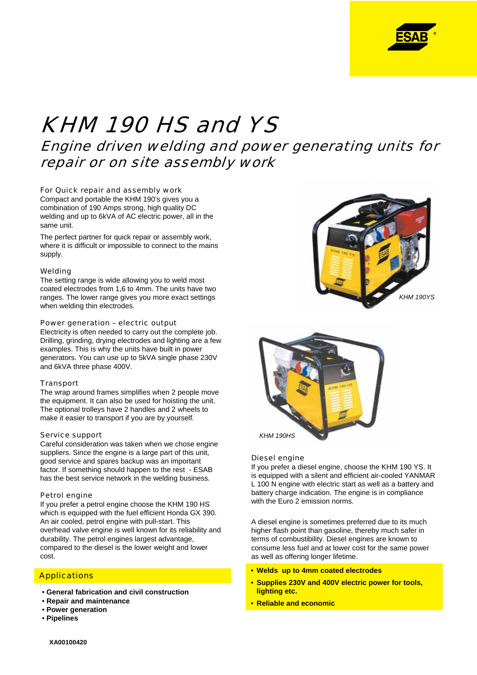

# KHM 190 HS and YS

Engine driven welding and power generating units for repair or on site assembly work

### For Quick repair and assembly work

Compact and portable the KHM 190's gives you a combination of 190 Amps strong, high quality DC welding and up to 6kVA of AC electric power, all in the same unit.

The perfect partner for quick repair or assembly work, where it is difficult or impossible to connect to the mains supply.

#### Welding

The setting range is wide allowing you to weld most coated electrodes from 1,6 to 4mm. The units have two ranges. The lower range gives you more exact settings when welding thin electrodes.

#### Power generation – electric output

Electricity is often needed to carry out the complete job. Drilling, grinding, drying electrodes and lighting are a few examples. This is why the units have built in power generators. You can use up to 5kVA single phase 230V and 6kVA three phase 400V.

#### **Transport**

The wrap around frames simplifies when 2 people move the equipment. It can also be used for hoisting the unit. The optional trolleys have 2 handles and 2 wheels to make it easier to transport if you are by yourself.

#### Service support

Careful consideration was taken when we chose engine suppliers. Since the engine is a large part of this unit. good service and spares backup was an important factor. If something should happen to the rest - ESAB has the best service network in the welding business.

#### Petrol engine

If you prefer a petrol engine choose the KHM 190 HS which is equipped with the fuel efficient Honda GX 390. An air cooled, petrol engine with pull-start. This overhead valve engine is well known for its reliability and durability. The petrol engines largest advantage, compared to the diesel is the lower weight and lower cost.

# **Applications**

- **General fabrication and civil construction**
- **Repair and maintenance**
- **Power generation**
- **Pipelines**





#### Diesel engine

If you prefer a diesel engine, choose the KHM 190 YS. It is equipped with a silent and efficient air-cooled YANMAR L 100 N engine with electric start as well as a battery and battery charge indication. The engine is in compliance with the Euro 2 emission norms.

A diesel engine is sometimes preferred due to its much higher flash point than gasoline, thereby much safer in terms of combustibility. Diesel engines are known to consume less fuel and at lower cost for the same power as well as offering longer lifetime.

- **Welds up to 4mm coated electrodes**
- **Supplies 230V and 400V electric power for tools, lighting etc.**
- **Reliable and economic**